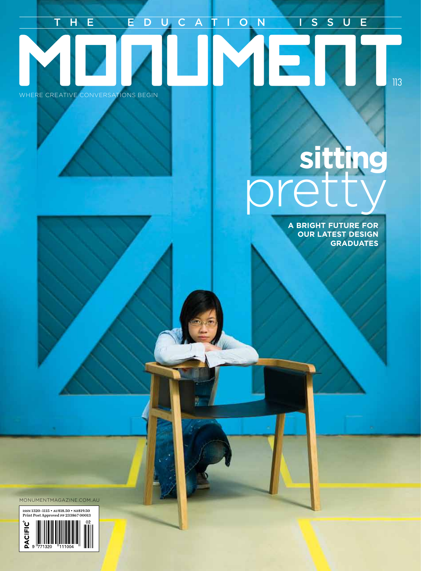# WHERE CREATIVE CONVERSATIONS BEGIN THE EDUCATION ISSUE

# **sitting** pretty

**A BRIGHT FUTURE FOR OUR LATEST DESIGN GRADUATES**

113

MONUMENTMAGAZINE.COM.AU

issn 1320–1115 • au\$18.50 • nz\$19.50 Print Post Approved pp 233867 00013 **PACIFIC**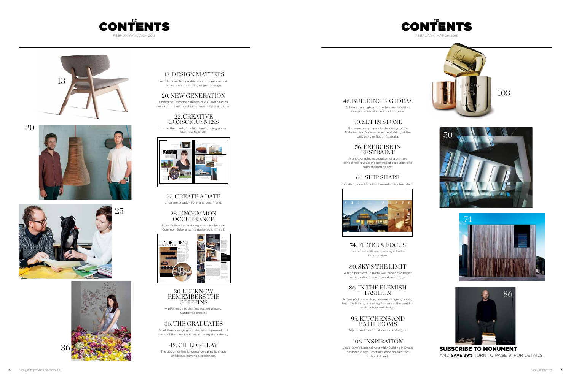#### 13. DESIGN MATTERS

Artful, innovative products and the people and projects on the cutting edge of design.

#### 20. NEW GENERATION

Emerging Tasmanian design duo DHAB Studios focus on the relationship between object and user.

#### 28. UNCOMMON **OCCURRENCE**



Inside the mind of architectural photographer Shannon McGrath.

A pilgrimage to the final resting place of Canberra's creator.

25. CREATE A DATE

A canine creation for man's best friend.

Luke Mutton had a strong vision for his cafe Common Galaxia, so he designed it himself.

#### 30. LUCKNOW REMEMBERS THE GRIFFINS

## 36. THE GRADUATES

Meet three design graduates who represent just some of the creative talent entering the industry.

## 42. CHILD'S PLAY

The design of this kindergarten aims to shape children's learning experiences.





has been a significant influence on architect Richard Hassell.











### 46. BUILDING BIG IDEAS

A Tasmanian high school offers an innovative

interpretation of an education space.

### 50. SET IN STONE

There are many layers to the design of the Materials and Minerals Science Building at the University of South Australia.

#### 56. EXERCISE IN RESTRAINT

A photographic exploration of a primary school hall reveals the controlled execution of a sophisticated design.

### 66. SHIP SHAPE



Breathing new life into a Lavender Bay boatshed.



74. FILTER & FOCUS This house edits encroaching suburbia from its view.

80. SKY'S THE LIMIT A high pitch over a party wall provides a bright

new addition to an Edwardian cottage.

### 86. IN THE FLEMISH FASHION

Antwerp's fashion designers are still going strong,

but now the city is making its mark in the world of architecture and design.

# 95. KITCHENS AND

BATHROOMS

Stylish and functional ideas and designs.

### 106. INSPIRATION

Louis Kahn's National Assembly Building in Dhaka









SUBSCRIBE TO MONUMENT AND **SAVE 39%** TURN TO PAGE 91 FOR DETAILS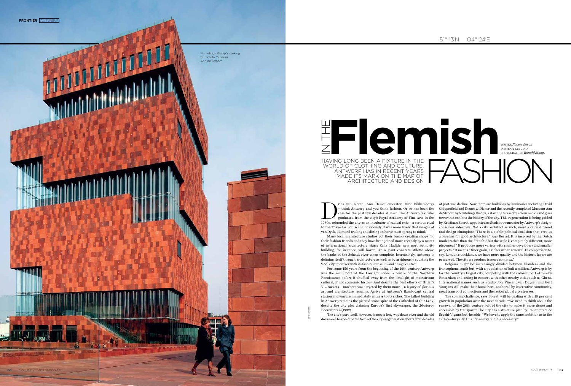

The city's port itself, however, is now a long way down river and the old docks area has become the focus of the city's regeneration efforts after decades

their fashion friends and they have been joined more recently by a roster of international architecture stars; Zaha Hadid's new port authority building, for instance, will hover like a giant concrete stiletto above the banks of the Scheldt river when complete. Increasingly, Antwerp is defining itself through architecture as well as by assiduously courting the 'cool city' moniker with its fashion museum and design centre.

The Union of the past few decades at least. The Antwerp Six, who graduated from the city's Royal Academy of Fine Arts in the 1980s, rebranded the city as an incubator of radical chic – a serious rival – think Antwerp and you think fashion. Or so has been the case for the past few decades at least. The Antwerp Six, who graduated from the city's Royal Academy of Fine Arts in the to the Tokyo fashion scene. Previously it was more likely that images of van Dyck, diamond trading and dining on horse meat sprang to mind. Many local architecture studios got their breaks creating shops for of post-war decline. Now there are buildings by luminaries including David Chipperfield and Diener & Diener and the recently completed Museum Aan de Stroom by Neutelings Riedijk, a startling terracotta colour and curved glass tower that exhibits the history of the city. This regeneration is being guided by Kristiaan Borret, appointed as Stadsbouwmeester by Antwerp's designconscious aldermen. Not a city architect as such, more a critical friend and design champion: "There is a stable political coalition that creates a baseline for good architecture," says Borret. It is inspired by the Dutch model rather than the French: "But the scale is completely different, more piecemeal." It produces more variety with smaller developers and smaller projects. "It means a finer grain, a richer urban renewal. In comparison to, say, London's docklands, we have more quality and the historic layers are preserved. The city we produce is more complex."

For some 150 years from the beginning of the 16th century Antwerp was the main port of the Low Countries, a centre of the Northern Renaissance before it shuffled away from the limelight of mainstream cultural, if not economic history. And despite the best efforts of Hitler's V-2 rockets – nowhere was targeted by them more – a legacy of glorious art and architecture remains. Arrive at Antwerp's flamboyant central station and you are immediately witness to its riches. The tallest building in Antwerp remains the pierced stone spire of the Cathedral of Our Lady, despite the city also claiming Europe's first skyscraper, the 26-storey Boerentoren (1932).

Belgium might be increasingly divided between Flanders and the francophone south but, with a population of half a million, Antwerp is by far the country's largest city, competing with the colossal port of nearby Rotterdam and acting in concert with other nearby cities such as Ghent. International names such as Studio Job, Vincent van Duysen and Gert Voorjans still make their home here, anchored by its creative community, great transport connections and the lack of global city stresses.

The coming challenge, says Borret, will be dealing with a 10 per cent growth in population over the next decade: "We need to think about the renewal of the 20th century belt of the city to make it more dense and accessible by transport." The city has a structure plan by Italian practice Secchi-Vigano, but, he adds: "We have to apply the same ambition as in the 19th century city. It is not as sexy but it is necessary."



HAVING LONG BEEN A FIXTURE IN THE WORLD OF CLOTHING AND COUTURE, IN THE

FILIP DUJARDIN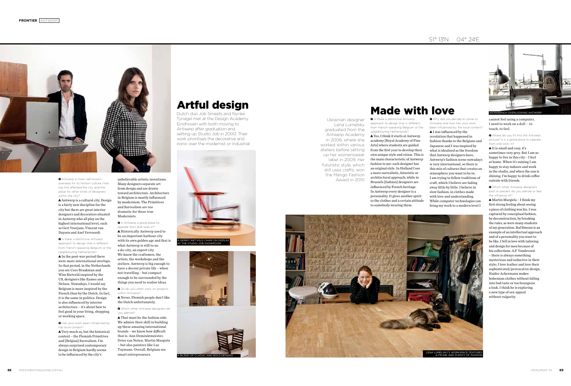

Q Antwerp is most well-known overseas for its fashion culture. How has this affected the city and the place for other kinds of designers within the city?

**Q** Is there a distinctive Antwerp approach to design that is different from French-speaking Belgium or the neighbouring Netherlands?

A Antwerp is a cultural city. Design is a fairly new discipline for the city but there are great interior designers and decorators situated in Antwerp who all play on the highest international level, such as Gert Voorjans, Vincent van Duysen and Axel Vervoordt.

A In the post-war period there were more international overlaps. In that period, in the Netherlands, you see Cees Braakman and Wim Rietveld inspired by the US, designers like Eames and Nelson. Nowadays, I would say Belgium is more inspired by the French than by the Dutch. In fact, it is the same in politics. Design is also influenced by interior architecture – it's about how to feel good in your living, shopping or working space.

**Q** Has your work been influenced by the local context?

A Very much so, but the historical context – the Flemish Primitives and [Belgian] Surrealism. I'm always surprised contemporary design in Belgium hardly seems to be influenced by the city's

**Q** Is Antwerp a good place to operate from and work in? A Historically Antwerp used to be an important harbour city with its own golden age and that is what Antwerp is still to us: a do-city, an export city. We know the craftsmen, the artists, the workshops and the ateliers. Antwerp is big enough to have a decent private life – when not travelling – but compact enough to be surrounded by the things you need to realise ideas.

**Q** So do you often work on projects within Antwern? A Never, Flemish people don't like

unbelievable artistic inventions. Many designers separate art from design and are drawn toward architecture. Architecture in Belgium is mostly influenced by modernism. The Primitives and Surrealism are too dramatic for these true Modernists.

**Q** Is there a distinctive Antwerp approach to design that is different from French-speaking Belgium or the neighbouring Netherlands?

**Q** Where do you fit into the Antwerp picture? Is it a good place to operate from and work in?

Q Which other Antwerp designers past or present do you admire or feel the influence of?

the Dutch unfortunately.

Q Which other Antwerp designers do you admire?

A That must be the fashion side. We admire their skill in building up these amazing international brands – we know how difficult that is. Ann Demeulemeester, Dries van Noten, Martin Margiela – but also painters like Luc Tuymans. Overall, Belgians are smart entrepreneurs.

Q Why did you decide to come to Antwerp and how has your work been influenced by the local context?

Dutch duo Job Smeets and Nynke Tynagel met at the Design Academy Eindhoven with both moving to Antwerp after graduation and setting up Studio Job in 2000. Their work prioritises the decorative and ironic over the modernist or industrial

## Artful design









A I was influenced by the revolution that happened in fashion thanks to the Belgians and Japanese and I was inspired by what is idealised as the freedom that Antwerp designers have. Antwerp's fashion scene nowadays is very international, so there is this mix of cultures that creates an atmosphere you want to be in. I am trying to follow traditions of craft, which I believe are fading away little by little. I believe in slow fashion, in clothes made with love and understanding. While computer technologies can bring my work to a modern level I

A Yes, I think it starts at Antwerp academy [Royal Academy of Fine Arts] where students are guided from the first year to develop their own unique style and vision. This is the main characteristic of Antwerp fashion to me: each designer has an original style. In Holland I see a more surrealistic, futuristic or architectural approach, while in Brussels [fashion] designers are influenced by French heritage. In Antwerp every designer is a personality. It gives another spirit to the clothes and a certain attitude to somebody wearing them.

## Made with love

cannot feel using a computer, I need to work on a doll – to touch, to feel.

A It is small and cosy, it's sometimes very grey. But I am so happy to live in this city – I feel at home. When it's raining I am happy to stay indoors and work in the studio, and when the sun is shining, I'm happy to drink coffee outside with friends.

A Martin Margiela – I think my first strong feeling about seeing a piece of clothing was his. I was captured by conceptual fashion, by deconstruction, by breaking the rules, as were many students of my generation. Raf Simons is an example of an intellectual approach and of a personality you want to be like. I fell in love with tailoring and design for men because of his collections. A.F. Vandevorst – there is always something mysterious and seductive in their style; I love leather and love their sophisticated/provocative design. Haider Ackermann makes bohemian clothes without falling into bad taste or too bourgeois a look. I think he is exploring a new type of sex-appeal without vulgarity.

Ukrainian designer Lena Lumelsky graduated from the Antwerp Academy in 2006, where she worked within various ateliers before setting up her womenswear label in 2009. Her futuristic style, which still uses crafts, won the Mango Fashion Award in 2010



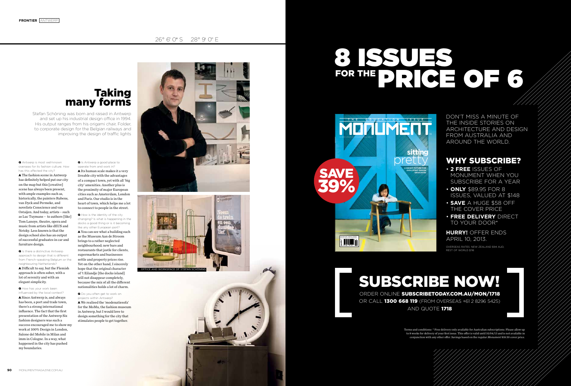### 26° 6' 0" S 28° 9' 0" E

Q Antwerp is most well-known overseas for its fashion culture. How has this affected the city? A The fashion scene in Antwerp has definitely helped put our city on the map but this [creative] scene has always been present, with ample examples such as, historically, the painters Rubens, van Dyck and Permeke, and novelists Conscience and van Ostaijen. And today, artists – such as Luc Tuymans – to authors [like]

**Q** Is there a distinctive Antwerp approach to design that is different from French-speaking Belgium or the neighbouring Netherlands?  $\triangle$  Difficult to say, but the Flemish approach is often sober, with a lot of serenity and with an elegant simplicity.

Tom Lanoye, theatre, opera and music from artists like dEUS and Netsky. Less known is that the design school also has an output of successful graduates in car and furniture design.

**Q** How has your work been influenced by the local context? A Since Antwerp is, and always has been, a port and trade town, there's a strong international influence. The fact that the first presentation of the Antwerp Six fashion designers was such a success encouraged me to show my work at 100% Design in London, Salone del Mobile in Milan and imm in Cologne. In a way, what happened in the city has pushed my boundaries.

Q How is the identity of the city changing? Is what is happening in the docks a good thing or is it becoming like any other European port? A You can see what a building such

Stefan Schöning was born and raised in Antwerp and set up his industrial design office in 1994. His output ranges from his origami chair, Folder, to corporate design for the Belgian railways and improving the design of traffic lights

> Q Is Antwerp a good place to operate from and work in? A Its human scale makes it a very liveable city with the advantages of a compact town, yet with all 'big city' amenities. Another plus is the proximity of major European cities such as Amsterdam, London and Paris. Our studio is in the heart of town, which helps me a lot to connect to people in the street.

> > Terms and conditions: \* Free delivery only available for Australian subscriptions. Please allow up to 8 weeks for delivery of your first issue. This offer is valid until 10/04/13 and is not available in conjunction with any other offer. Savings based on the regular *Monument* \$18.50 cover price.

# 8 ISSUES FOR THE DRICKE OF 6

as the Museum Aan de Stroom brings to a rather neglected neighbourhood; new bars and restaurants that jostle for clients, supermarkets and businesses settle and property prices rise. Yet on the other hand, I sincerely hope that the original character of 't Eilandje [the docks island] will not disappear completely, because the mix of all the different nationalities holds a lot of charm.

Q Do you often get to work on projects within Antwerp?

A We realised the 'modenatiesofa' for the MoMu, the fashion museum in Antwerp, but I would love to design something for the city that stimulates people to get together.



# Taking many forms



DON'T MISS A MINUTE OF THE INSIDE STORIES ON ARCHITECTURE AND DESIGN FROM AUSTRALIA AND AROUND THE WORLD.





**90** MONI IMENTMAGAZINE COM ALL

# SUBSCRIBE NOW!

ORDER ONLINE SUBSCRIBETODAY.COM.AU/MON/1718 OR CALL **1300 668 119** (FROM OVERSEAS +61 2 8296 5425) AND QUOTE 1718



## WHY SUBSCRIBE?

- **2 FREE** ISSUES OF MONUMENT WHEN YOU SUBSCRIBE FOR A YEAR
- **ONLY** \$89.95 FOR 8 ISSUES, VALUED AT \$148
- **SAVE** A HUGE \$58 OFF THE COVER PRICE
- **FREE DELIVERY** DIRECT TO YOUR DOOR\*

**HURRY!** OFFER ENDS APRIL 10, 2013.

OVERSEAS RATES: NEW ZEALAND \$94 AUD, REST OF WORLD \$116